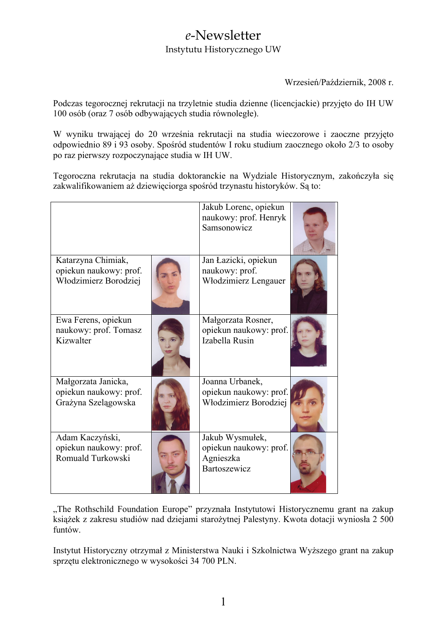## e-Newsletter Instytutu Historycznego UW

Wrzesień/Październik, 2008 r.

Podczas tegorocznej rekrutacji na trzyletnie studia dzienne (licencjackie) przyjęto do IH UW 100 osób (oraz 7 osób odbywających studia równoległe).

W wyniku trwającej do 20 września rekrutacji na studia wieczorowe i zaoczne przyjęto odpowiednio 89 i 93 osoby. Spośród studentów I roku studium zaocznego około 2/3 to osoby po raz pierwszy rozpoczynające studia w IH UW.

Tegoroczna rekrutacja na studia doktoranckie na Wydziale Historycznym, zakończyła się zakwalifikowaniem aż dziewięciorga spośród trzynastu historyków. Są to:

|                                                                       | Jakub Lorenc, opiekun<br>naukowy: prof. Henryk<br>Samsonowicz          |  |
|-----------------------------------------------------------------------|------------------------------------------------------------------------|--|
| Katarzyna Chimiak,<br>opiekun naukowy: prof.<br>Włodzimierz Borodziej | Jan Łazicki, opiekun<br>naukowy: prof.<br>Włodzimierz Lengauer         |  |
| Ewa Ferens, opiekun<br>naukowy: prof. Tomasz<br>Kizwalter             | Małgorzata Rosner,<br>opiekun naukowy: prof.<br>Izabella Rusin         |  |
| Małgorzata Janicka,<br>opiekun naukowy: prof.<br>Grażyna Szelągowska  | Joanna Urbanek,<br>opiekun naukowy: prof.<br>Włodzimierz Borodziej     |  |
| Adam Kaczyński,<br>opiekun naukowy: prof.<br>Romuald Turkowski        | Jakub Wysmułek,<br>opiekun naukowy: prof.<br>Agnieszka<br>Bartoszewicz |  |

"The Rothschild Foundation Europe" przyznała Instytutowi Historycznemu grant na zakup książek z zakresu studiów nad dziejami starożytnej Palestyny. Kwota dotacji wyniosła 2 500 funtów.

Instytut Historyczny otrzymał z Ministerstwa Nauki i Szkolnictwa Wyższego grant na zakup sprzętu elektronicznego w wysokości 34 700 PLN.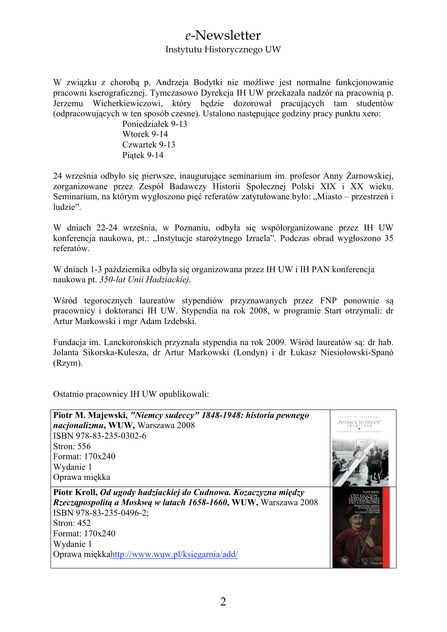## e-Newsletter

#### Instytutu Historycznego UW

W związku z choroba p. Andrzeją Bodytki nie możliwe jest normalne funkcjonowanie pracowni kserograficznej. Tymczasowo Dyrekcja IH UW przekazała nadzór na pracownią p. Jerzemu Wicherkiewiczowi, który będzie dozorował pracujących tam studentów (odpracowujących w ten sposób czesne). Ustalono następujące godziny pracy punktu xero:

> Poniedziałek 9-13 Wtorek 9-14 Czwartek 9-13 Piatek 9-14

24 września odbyło się pierwsze, inaugurujące seminarium im. profesor Anny Żarnowskiej, zorganizowane przez Zespół Badawczy Historii Społecznej Polski XIX i XX wieku. Seminarium, na którym wygłoszono pięć referatów zatytułowane było: "Miasto – przestrzeń i ludzie".

W dniach 22-24 września, w Poznaniu, odbyła się współorganizowane przez IH UW konferencja naukowa, pt.: "Instytucje starożytnego Izraela". Podczas obrad wygłoszono 35 referatów.

W dniach 1-3 października odbyła się organizowana przez IH UW i IH PAN konferencja naukowa pt. 350-lat Unii Hadziackiej.

Wśród tegorocznych laureatów stypendiów przyznawanych przez FNP ponownie sa pracownicy i doktoranci IH UW. Stypendia na rok 2008, w programie Start otrzymali: dr Artur Markowski i mgr Adam Izdebski.

Fundacia im. Lanckorońskich przyznała stypendia na rok 2009. Wśród laureatów sa: dr hab. Jolanta Sikorska-Kulesza, dr Artur Markowski (Londyn) i dr Łukasz Niesiołowski-Spanò  $(Rzym)$ .

Ostatnio pracownicy IH UW opublikowali: